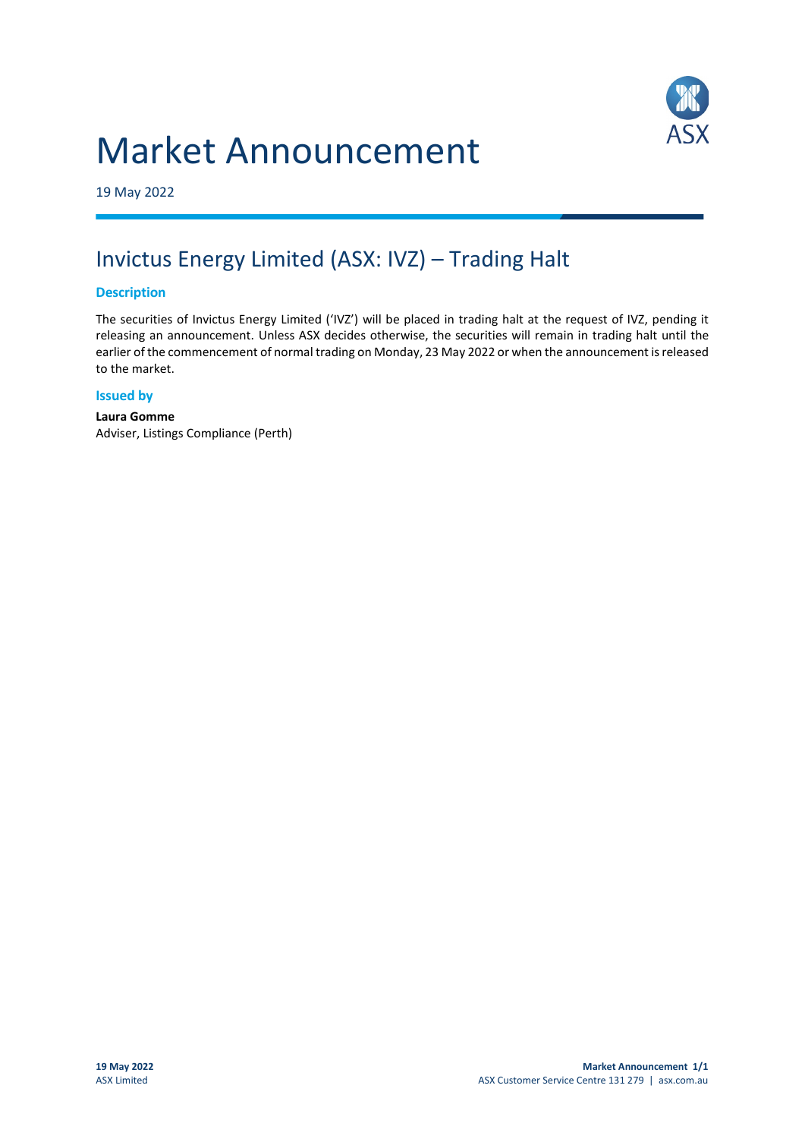# Market Announcement



19 May 2022

# Invictus Energy Limited (ASX: IVZ) – Trading Halt

### **Description**

The securities of Invictus Energy Limited ('IVZ') will be placed in trading halt at the request of IVZ, pending it releasing an announcement. Unless ASX decides otherwise, the securities will remain in trading halt until the earlier of the commencement of normal trading on Monday, 23 May 2022 or when the announcement is released to the market.

### **Issued by**

**Laura Gomme** Adviser, Listings Compliance (Perth)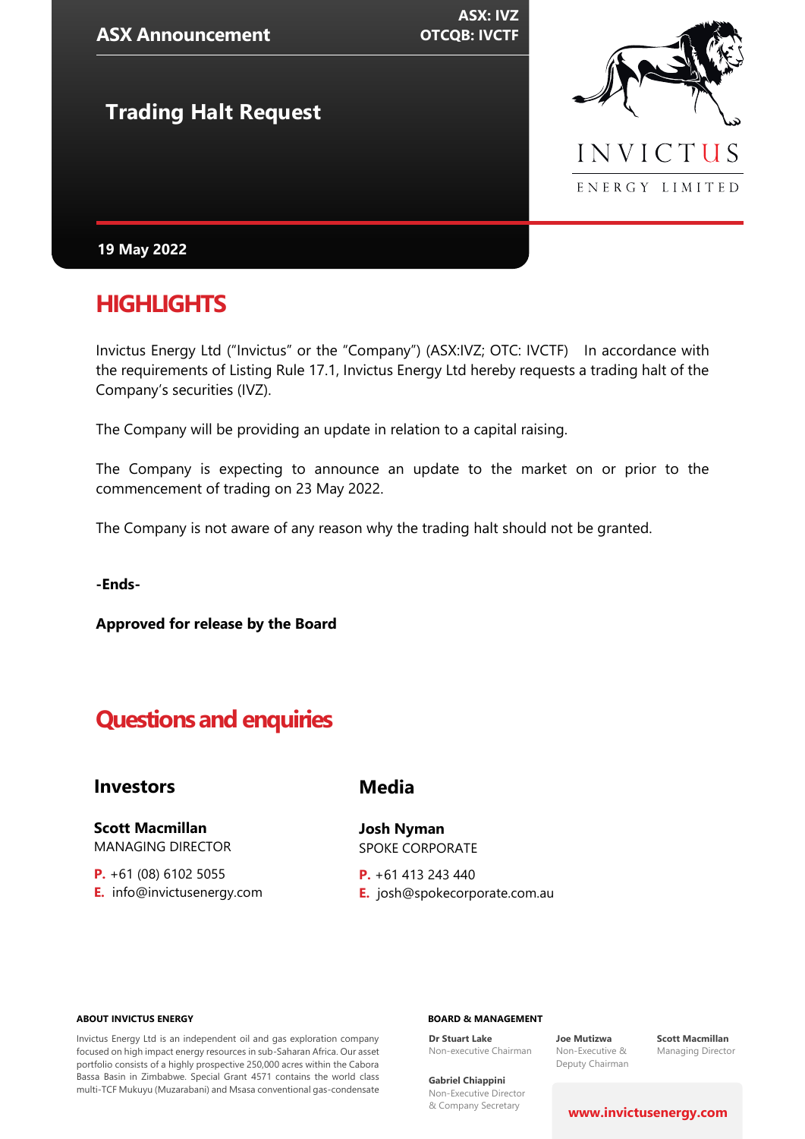| <b>ASX Announcement</b>     | <b>ASX: IVZ</b><br><b>OTCQB: IVCTF</b> |                |
|-----------------------------|----------------------------------------|----------------|
| <b>Trading Halt Request</b> |                                        |                |
|                             |                                        | INVICTUS       |
|                             |                                        | ENERGY LIMITED |
| 19 May 2022                 |                                        |                |

# **HIGHLIGHTS**

Invictus Energy Ltd ("Invictus" or the "Company") (ASX:IVZ; OTC: IVCTF) In accordance with the requirements of Listing Rule 17.1, Invictus Energy Ltd hereby requests a trading halt of the Company's securities (IVZ).

The Company will be providing an update in relation to a capital raising.

The Company is expecting to announce an update to the market on or prior to the commencement of trading on 23 May 2022.

The Company is not aware of any reason why the trading halt should not be granted.

**-Ends-**

**Approved for release by the Board**

# **Questions and enquiries**

### **Investors**

**Scott Macmillan**  MANAGING DIRECTOR

**P.** +61 (08) 6102 5055 **E.** info@invictusenergy.com

## **Media**

**Josh Nyman** SPOKE CORPORATE

**P.** +61 413 243 440 **E.** josh@spokecorporate.com.au

#### **ABOUT INVICTUS ENERGY**

Invictus Energy Ltd is an independent oil and gas exploration company focused on high impact energy resources in sub-Saharan Africa. Our asset portfolio consists of a highly prospective 250,000 acres within the Cabora Bassa Basin in Zimbabwe. Special Grant 4571 contains the world class multi-TCF Mukuyu (Muzarabani) and Msasa conventional gas-condensate

#### **BOARD & MANAGEMENT**

**Dr Stuart Lake** Non-executive Chairman

**Joe Mutizwa** Non-Executive & Deputy Chairman

**Scott Macmillan** Managing Director

**Gabriel Chiappini** Non-Executive Director & Company Secretary

#### **[www.invictusenergy.com](http://www.invictusenergy.com/)**